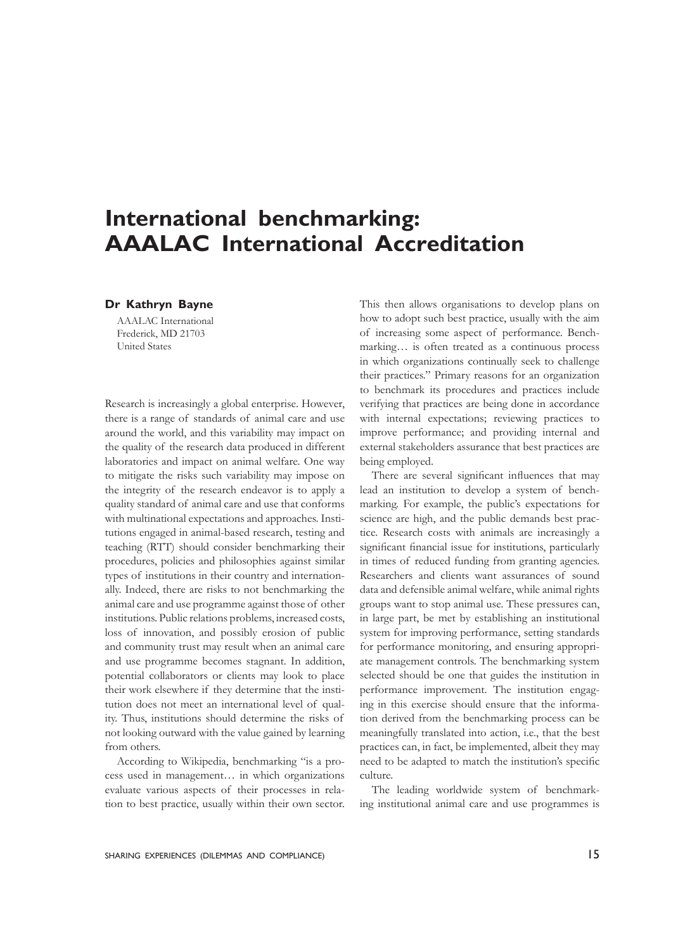# **International benchmarking: AAALAC International Accreditation**

#### **Dr Kathryn Bayne**

AAALAC International Frederick, MD 21703 United States

Research is increasingly a global enterprise. However, there is a range of standards of animal care and use around the world, and this variability may impact on the quality of the research data produced in different laboratories and impact on animal welfare. One way to mitigate the risks such variability may impose on the integrity of the research endeavor is to apply a quality standard of animal care and use that conforms with multinational expectations and approaches. Institutions engaged in animal-based research, testing and teaching (RTT) should consider benchmarking their procedures, policies and philosophies against similar types of institutions in their country and internationally. Indeed, there are risks to not benchmarking the animal care and use programme against those of other institutions. Public relations problems, increased costs, loss of innovation, and possibly erosion of public and community trust may result when an animal care and use programme becomes stagnant. In addition, potential collaborators or clients may look to place their work elsewhere if they determine that the institution does not meet an international level of quality. Thus, institutions should determine the risks of not looking outward with the value gained by learning from others.

According to Wikipedia, benchmarking "is a process used in management… in which organizations evaluate various aspects of their processes in relation to best practice, usually within their own sector. This then allows organisations to develop plans on how to adopt such best practice, usually with the aim of increasing some aspect of performance. Benchmarking… is often treated as a continuous process in which organizations continually seek to challenge their practices." Primary reasons for an organization to benchmark its procedures and practices include verifying that practices are being done in accordance with internal expectations; reviewing practices to improve performance; and providing internal and external stakeholders assurance that best practices are being employed.

 There are several significant influences that may lead an institution to develop a system of benchmarking. For example, the public's expectations for science are high, and the public demands best practice. Research costs with animals are increasingly a significant financial issue for institutions, particularly in times of reduced funding from granting agencies. Researchers and clients want assurances of sound data and defensible animal welfare, while animal rights groups want to stop animal use. These pressures can, in large part, be met by establishing an institutional system for improving performance, setting standards for performance monitoring, and ensuring appropriate management controls. The benchmarking system selected should be one that guides the institution in performance improvement. The institution engaging in this exercise should ensure that the information derived from the benchmarking process can be meaningfully translated into action, i.e., that the best practices can, in fact, be implemented, albeit they may need to be adapted to match the institution's specific culture.

The leading worldwide system of benchmarking institutional animal care and use programmes is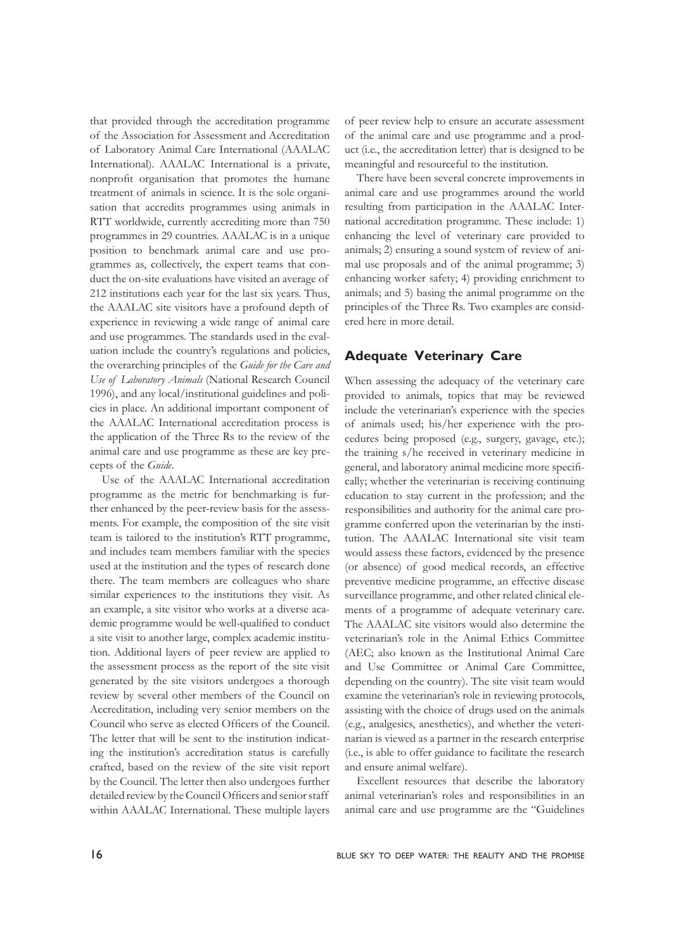that provided through the accreditation programme of the Association for Assessment and Accreditation of Laboratory Animal Care International (AAALAC International). AAALAC International is a private, nonprofit organisation that promotes the humane treatment of animals in science. It is the sole organisation that accredits programmes using animals in RTT worldwide, currently accrediting more than 750 programmes in 29 countries. AAALAC is in a unique position to benchmark animal care and use programmes as, collectively, the expert teams that conduct the on-site evaluations have visited an average of 212 institutions each year for the last six years. Thus, the AAALAC site visitors have a profound depth of experience in reviewing a wide range of animal care and use programmes. The standards used in the evaluation include the country's regulations and policies, the overarching principles of the *Guide for the Care and Use of Laboratory Animals* (National Research Council 1996), and any local/institutional guidelines and policies in place. An additional important component of the AAALAC International accreditation process is the application of the Three Rs to the review of the animal care and use programme as these are key precepts of the *Guide*.

Use of the AAALAC International accreditation programme as the metric for benchmarking is further enhanced by the peer-review basis for the assessments. For example, the composition of the site visit team is tailored to the institution's RTT programme, and includes team members familiar with the species used at the institution and the types of research done there. The team members are colleagues who share similar experiences to the institutions they visit. As an example, a site visitor who works at a diverse academic programme would be well-qualified to conduct a site visit to another large, complex academic institution. Additional layers of peer review are applied to the assessment process as the report of the site visit generated by the site visitors undergoes a thorough review by several other members of the Council on Accreditation, including very senior members on the Council who serve as elected Officers of the Council. The letter that will be sent to the institution indicating the institution's accreditation status is carefully crafted, based on the review of the site visit report by the Council. The letter then also undergoes further detailed review by the Council Officers and senior staff within AAALAC International. These multiple layers of peer review help to ensure an accurate assessment of the animal care and use programme and a product (i.e., the accreditation letter) that is designed to be meaningful and resourceful to the institution.

There have been several concrete improvements in animal care and use programmes around the world resulting from participation in the AAALAC International accreditation programme. These include: 1) enhancing the level of veterinary care provided to animals; 2) ensuring a sound system of review of animal use proposals and of the animal programme; 3) enhancing worker safety; 4) providing enrichment to animals; and 5) basing the animal programme on the principles of the Three Rs. Two examples are considered here in more detail.

### **Adequate Veterinary Care**

When assessing the adequacy of the veterinary care provided to animals, topics that may be reviewed include the veterinarian's experience with the species of animals used; his/her experience with the procedures being proposed (e.g., surgery, gavage, etc.); the training s/he received in veterinary medicine in general, and laboratory animal medicine more specifically; whether the veterinarian is receiving continuing education to stay current in the profession; and the responsibilities and authority for the animal care programme conferred upon the veterinarian by the institution. The AAALAC International site visit team would assess these factors, evidenced by the presence (or absence) of good medical records, an effective preventive medicine programme, an effective disease surveillance programme, and other related clinical elements of a programme of adequate veterinary care. The AAALAC site visitors would also determine the veterinarian's role in the Animal Ethics Committee (AEC; also known as the Institutional Animal Care and Use Committee or Animal Care Committee, depending on the country). The site visit team would examine the veterinarian's role in reviewing protocols, assisting with the choice of drugs used on the animals (e.g., analgesics, anesthetics), and whether the veterinarian is viewed as a partner in the research enterprise (i.e., is able to offer guidance to facilitate the research and ensure animal welfare).

Excellent resources that describe the laboratory animal veterinarian's roles and responsibilities in an animal care and use programme are the "Guidelines